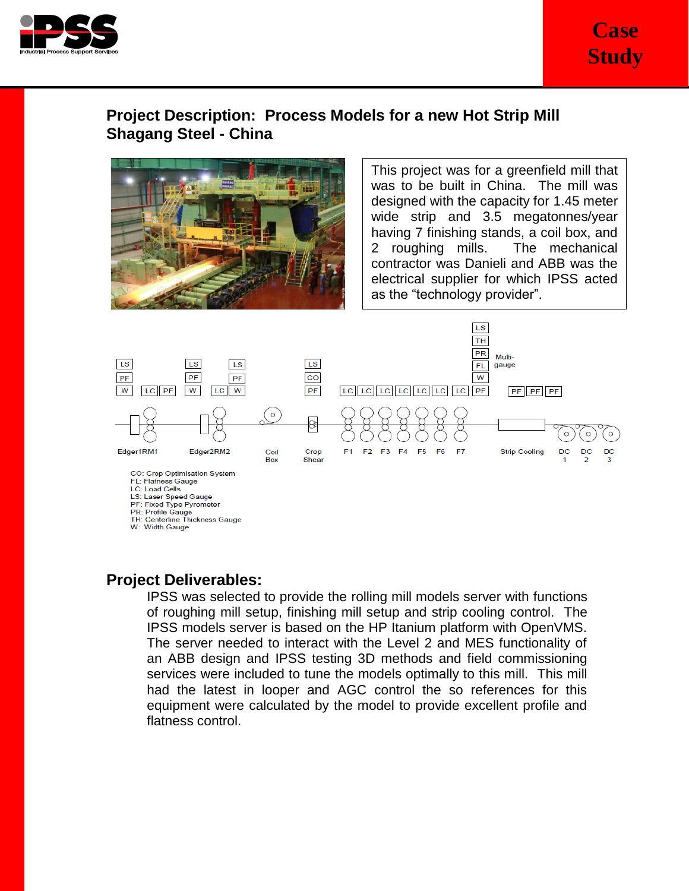

## **Project Description: Process Models for a new Hot Strip Mill Shagang Steel - China**



This project was for a greenfield mill that was to be built in China. The mill was designed with the capacity for 1.45 meter wide strip and 3.5 megatonnes/year having 7 finishing stands, a coil box, and 2 roughing mills. The mechanical contractor was Danieli and ABB was the electrical supplier for which IPSS acted as the "technology provider".



FL: Flatness Gauge

**LC: Load Cells** 

LS: Laser Speed Gauge<br>PF: Fixed Type Pyrometer

PR: Profile Gauge

TH: Centerline Thickness Gauge W: Width Gauge

## **Project Deliverables:**

IPSS was selected to provide the rolling mill models server with functions of roughing mill setup, finishing mill setup and strip cooling control. The IPSS models server is based on the HP Itanium platform with OpenVMS. The server needed to interact with the Level 2 and MES functionality of an ABB design and IPSS testing 3D methods and field commissioning services were included to tune the models optimally to this mill. This mill had the latest in looper and AGC control the so references for this equipment were calculated by the model to provide excellent profile and flatness control.